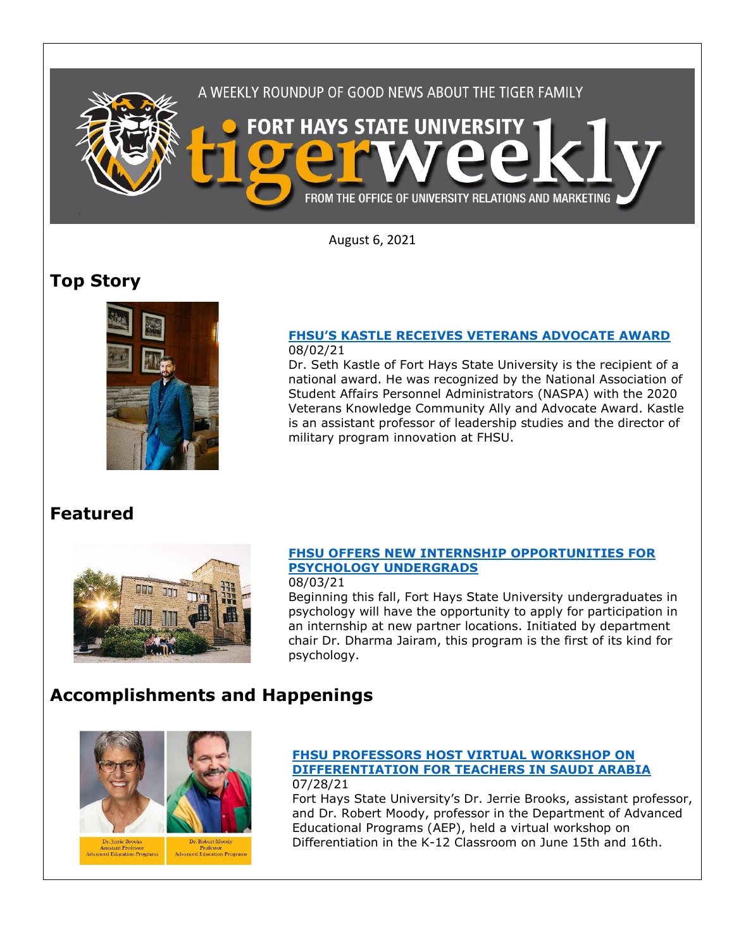

August 6, 2021

## **Top Story**



### **FHSU['S KASTLE RECEIVES VETERANS ADVOCATE AWARD](https://fhsu.edu/news/2021/08/fhsus-kastle-receives-veterans-advocate-award)** 08/02/21

Dr. Seth Kastle of Fort Hays State University is the recipient of a national award. He was recognized by the National Association of Student Affairs Personnel Administrators (NASPA) with the 2020 Veterans Knowledge Community Ally and Advocate Award. Kastle is an assistant professor of leadership studies and the director of military program innovation at FHSU.

## **Featured**



## **[FHSU OFFERS NEW INTERNSHIP OPPORTUNITIES FOR](https://fhsu.edu/news/2021/08/fhsu-offers-new-internship-opportunities-for-psychology-undergrads)  [PSYCHOLOGY UNDERGRADS](https://fhsu.edu/news/2021/08/fhsu-offers-new-internship-opportunities-for-psychology-undergrads)**

08/03/21

Beginning this fall, Fort Hays State University undergraduates in psychology will have the opportunity to apply for participation in an internship at new partner locations. Initiated by department chair Dr. Dharma Jairam, this program is the first of its kind for psychology.

# **Accomplishments and Happenings**





Dr. Jerrie Brooks<br>Assistant Professor<br>ced Education Program

#### **FHSU [PROFESSORS HOST VIRTUAL WORKSHOP ON](https://fhsu.edu/news/2021/07/fhsu-professors-host-virtual-workshop-on-differentiation-for-teachers-in-saudi-arabia)  [DIFFERENTIATION FOR TEACHERS IN SAUDI ARABIA](https://fhsu.edu/news/2021/07/fhsu-professors-host-virtual-workshop-on-differentiation-for-teachers-in-saudi-arabia)** 07/28/21

Fort Hays State University's Dr. Jerrie Brooks, assistant professor, and Dr. Robert Moody, professor in the Department of Advanced Educational Programs (AEP), held a virtual workshop on Differentiation in the K-12 Classroom on June 15th and 16th.